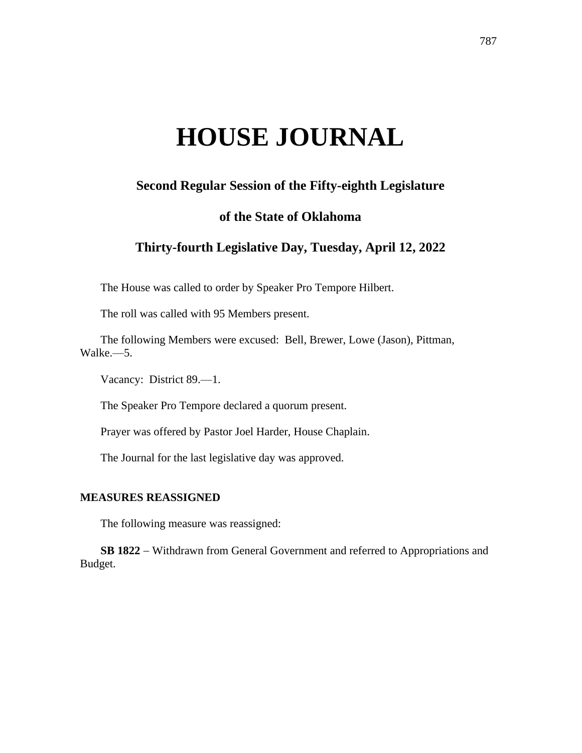# **HOUSE JOURNAL**

# **Second Regular Session of the Fifty-eighth Legislature**

## **of the State of Oklahoma**

# **Thirty-fourth Legislative Day, Tuesday, April 12, 2022**

The House was called to order by Speaker Pro Tempore Hilbert.

The roll was called with 95 Members present.

The following Members were excused: Bell, Brewer, Lowe (Jason), Pittman, Walke.—5.

Vacancy: District 89.—1.

The Speaker Pro Tempore declared a quorum present.

Prayer was offered by Pastor Joel Harder, House Chaplain.

The Journal for the last legislative day was approved.

#### **MEASURES REASSIGNED**

The following measure was reassigned:

**SB 1822** − Withdrawn from General Government and referred to Appropriations and Budget.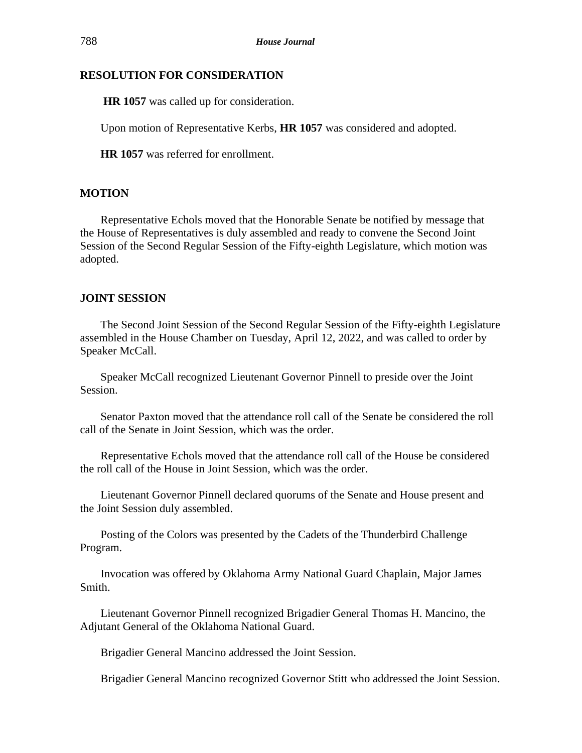## **RESOLUTION FOR CONSIDERATION**

**HR 1057** was called up for consideration.

Upon motion of Representative Kerbs, **HR 1057** was considered and adopted.

**HR 1057** was referred for enrollment.

## **MOTION**

Representative Echols moved that the Honorable Senate be notified by message that the House of Representatives is duly assembled and ready to convene the Second Joint Session of the Second Regular Session of the Fifty-eighth Legislature, which motion was adopted.

### **JOINT SESSION**

The Second Joint Session of the Second Regular Session of the Fifty-eighth Legislature assembled in the House Chamber on Tuesday, April 12, 2022, and was called to order by Speaker McCall.

Speaker McCall recognized Lieutenant Governor Pinnell to preside over the Joint Session.

Senator Paxton moved that the attendance roll call of the Senate be considered the roll call of the Senate in Joint Session, which was the order.

Representative Echols moved that the attendance roll call of the House be considered the roll call of the House in Joint Session, which was the order.

Lieutenant Governor Pinnell declared quorums of the Senate and House present and the Joint Session duly assembled.

Posting of the Colors was presented by the Cadets of the Thunderbird Challenge Program.

Invocation was offered by Oklahoma Army National Guard Chaplain, Major James Smith.

Lieutenant Governor Pinnell recognized Brigadier General Thomas H. Mancino, the Adjutant General of the Oklahoma National Guard.

Brigadier General Mancino addressed the Joint Session.

Brigadier General Mancino recognized Governor Stitt who addressed the Joint Session.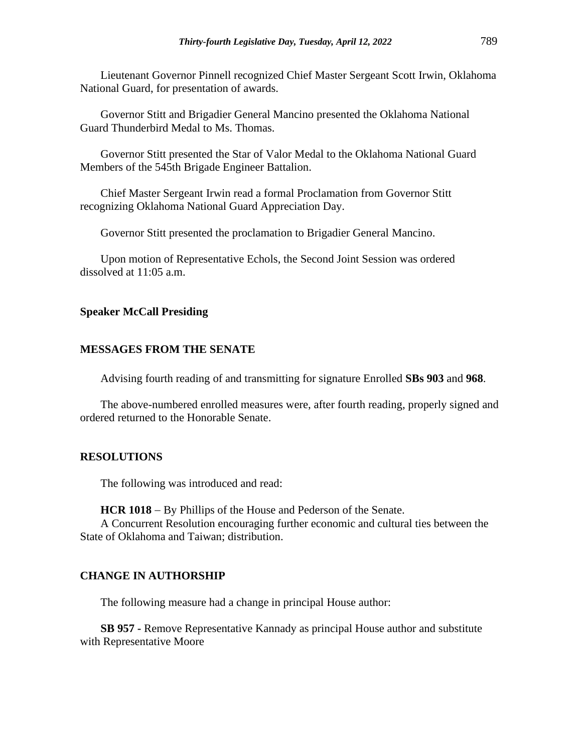Lieutenant Governor Pinnell recognized Chief Master Sergeant Scott Irwin, Oklahoma National Guard, for presentation of awards.

Governor Stitt and Brigadier General Mancino presented the Oklahoma National Guard Thunderbird Medal to Ms. Thomas.

Governor Stitt presented the Star of Valor Medal to the Oklahoma National Guard Members of the 545th Brigade Engineer Battalion.

Chief Master Sergeant Irwin read a formal Proclamation from Governor Stitt recognizing Oklahoma National Guard Appreciation Day.

Governor Stitt presented the proclamation to Brigadier General Mancino.

Upon motion of Representative Echols, the Second Joint Session was ordered dissolved at 11:05 a.m.

#### **Speaker McCall Presiding**

#### **MESSAGES FROM THE SENATE**

Advising fourth reading of and transmitting for signature Enrolled **SBs 903** and **968**.

The above-numbered enrolled measures were, after fourth reading, properly signed and ordered returned to the Honorable Senate.

#### **RESOLUTIONS**

The following was introduced and read:

**HCR 1018** − By Phillips of the House and Pederson of the Senate.

A Concurrent Resolution encouraging further economic and cultural ties between the State of Oklahoma and Taiwan; distribution.

#### **CHANGE IN AUTHORSHIP**

The following measure had a change in principal House author:

**SB 957 -** Remove Representative Kannady as principal House author and substitute with Representative Moore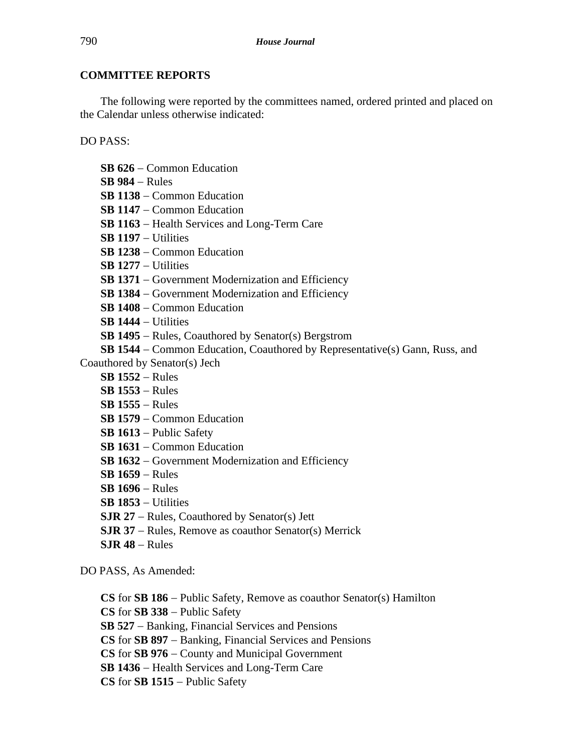# **COMMITTEE REPORTS**

The following were reported by the committees named, ordered printed and placed on the Calendar unless otherwise indicated:

DO PASS:

- **SB 626** − Common Education
- **SB 984** − Rules
- **SB 1138** − Common Education
- **SB 1147** − Common Education
- **SB 1163** − Health Services and Long-Term Care
- **SB 1197** − Utilities
- **SB 1238** − Common Education
- **SB 1277** − Utilities
- **SB 1371** − Government Modernization and Efficiency
- **SB 1384** − Government Modernization and Efficiency
- **SB 1408** − Common Education
- **SB 1444** − Utilities
- **SB 1495** − Rules, Coauthored by Senator(s) Bergstrom
- **SB 1544** − Common Education, Coauthored by Representative(s) Gann, Russ, and Coauthored by Senator(s) Jech
	- - **SB 1552** − Rules
		- **SB 1553** − Rules
		- **SB 1555** − Rules
		- **SB 1579** − Common Education
		- **SB 1613** − Public Safety
		- **SB 1631** − Common Education
		- **SB 1632** − Government Modernization and Efficiency
		- **SB 1659** − Rules
		- **SB 1696** − Rules
		- **SB 1853** − Utilities
		- **SJR 27** − Rules, Coauthored by Senator(s) Jett
		- **SJR 37** − Rules, Remove as coauthor Senator(s) Merrick
		- **SJR 48** − Rules

DO PASS, As Amended:

- **CS** for **SB 186** − Public Safety, Remove as coauthor Senator(s) Hamilton
- **CS** for **SB 338** − Public Safety
- **SB 527** − Banking, Financial Services and Pensions
- **CS** for **SB 897** − Banking, Financial Services and Pensions
- **CS** for **SB 976** − County and Municipal Government
- **SB 1436** − Health Services and Long-Term Care
- **CS** for **SB 1515** − Public Safety